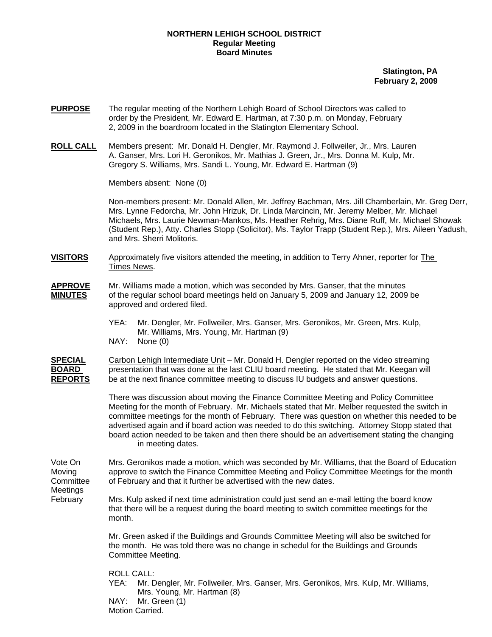## **NORTHERN LEHIGH SCHOOL DISTRICT Regular Meeting Board Minutes**

**Slatington, PA February 2, 2009**

- **PURPOSE** The regular meeting of the Northern Lehigh Board of School Directors was called to order by the President, Mr. Edward E. Hartman, at 7:30 p.m. on Monday, February 2, 2009 in the boardroom located in the Slatington Elementary School.
- **ROLL CALL** Members present: Mr. Donald H. Dengler, Mr. Raymond J. Follweiler, Jr., Mrs. Lauren A. Ganser, Mrs. Lori H. Geronikos, Mr. Mathias J. Green, Jr., Mrs. Donna M. Kulp, Mr. Gregory S. Williams, Mrs. Sandi L. Young, Mr. Edward E. Hartman (9)

Members absent: None (0)

Non-members present: Mr. Donald Allen, Mr. Jeffrey Bachman, Mrs. Jill Chamberlain, Mr. Greg Derr, Mrs. Lynne Fedorcha, Mr. John Hrizuk, Dr. Linda Marcincin, Mr. Jeremy Melber, Mr. Michael Michaels, Mrs. Laurie Newman-Mankos, Ms. Heather Rehrig, Mrs. Diane Ruff, Mr. Michael Showak (Student Rep.), Atty. Charles Stopp (Solicitor), Ms. Taylor Trapp (Student Rep.), Mrs. Aileen Yadush, and Mrs. Sherri Molitoris.

**VISITORS** Approximately five visitors attended the meeting, in addition to Terry Ahner, reporter for The Times News.

- **APPROVE** Mr. Williams made a motion, which was seconded by Mrs. Ganser, that the minutes **MINUTES** of the regular school board meetings held on January 5, 2009 and January 12, 2009 be approved and ordered filed.
	- YEA: Mr. Dengler, Mr. Follweiler, Mrs. Ganser, Mrs. Geronikos, Mr. Green, Mrs. Kulp, Mr. Williams, Mrs. Young, Mr. Hartman (9)
	- NAY: None (0)

**SPECIAL** Carbon Lehigh Intermediate Unit – Mr. Donald H. Dengler reported on the video streaming **BOARD** presentation that was done at the last CLIU board meeting. He stated that Mr. Keegan will **REPORTS** be at the next finance committee meeting to discuss IU budgets and answer questions.

> There was discussion about moving the Finance Committee Meeting and Policy Committee Meeting for the month of February. Mr. Michaels stated that Mr. Melber requested the switch in committee meetings for the month of February. There was question on whether this needed to be advertised again and if board action was needed to do this switching. Attorney Stopp stated that board action needed to be taken and then there should be an advertisement stating the changing in meeting dates.

Vote On Mrs. Geronikos made a motion, which was seconded by Mr. Williams, that the Board of Education Moving approve to switch the Finance Committee Meeting and Policy Committee Meetings for the month Committee of February and that it further be advertised with the new dates.

Meetings

February Mrs. Kulp asked if next time administration could just send an e-mail letting the board know that there will be a request during the board meeting to switch committee meetings for the month.

> Mr. Green asked if the Buildings and Grounds Committee Meeting will also be switched for the month. He was told there was no change in schedul for the Buildings and Grounds Committee Meeting.

> ROLL CALL: YEA: Mr. Dengler, Mr. Follweiler, Mrs. Ganser, Mrs. Geronikos, Mrs. Kulp, Mr. Williams, Mrs. Young, Mr. Hartman (8) NAY: Mr. Green (1) Motion Carried.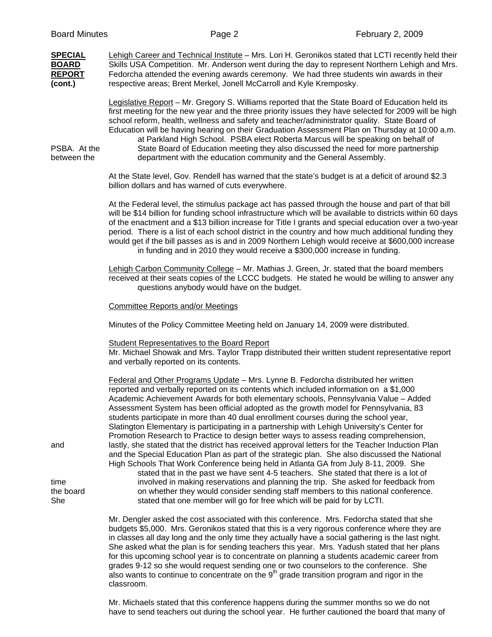| <b>SPECIAL</b><br><b>BOARD</b><br><b>REPORT</b><br>(cont.) | Lehigh Career and Technical Institute - Mrs. Lori H. Geronikos stated that LCTI recently held their<br>Skills USA Competition. Mr. Anderson went during the day to represent Northern Lehigh and Mrs.<br>Fedorcha attended the evening awards ceremony. We had three students win awards in their<br>respective areas; Brent Merkel, Jonell McCarroll and Kyle Kremposky.                                                                                                                                                                                                                                                                                                                                                                                                                                                                                                                                                                                                                                                                                                                                                                                                                                                                                                               |
|------------------------------------------------------------|-----------------------------------------------------------------------------------------------------------------------------------------------------------------------------------------------------------------------------------------------------------------------------------------------------------------------------------------------------------------------------------------------------------------------------------------------------------------------------------------------------------------------------------------------------------------------------------------------------------------------------------------------------------------------------------------------------------------------------------------------------------------------------------------------------------------------------------------------------------------------------------------------------------------------------------------------------------------------------------------------------------------------------------------------------------------------------------------------------------------------------------------------------------------------------------------------------------------------------------------------------------------------------------------|
| PSBA. At the<br>between the                                | Legislative Report - Mr. Gregory S. Williams reported that the State Board of Education held its<br>first meeting for the new year and the three priority issues they have selected for 2009 will be high<br>school reform, health, wellness and safety and teacher/administrator quality. State Board of<br>Education will be having hearing on their Graduation Assessment Plan on Thursday at 10:00 a.m.<br>at Parkland High School. PSBA elect Roberta Marcus will be speaking on behalf of<br>State Board of Education meeting they also discussed the need for more partnership<br>department with the education community and the General Assembly.                                                                                                                                                                                                                                                                                                                                                                                                                                                                                                                                                                                                                              |
|                                                            | At the State level, Gov. Rendell has warned that the state's budget is at a deficit of around \$2.3<br>billion dollars and has warned of cuts everywhere.                                                                                                                                                                                                                                                                                                                                                                                                                                                                                                                                                                                                                                                                                                                                                                                                                                                                                                                                                                                                                                                                                                                               |
|                                                            | At the Federal level, the stimulus package act has passed through the house and part of that bill<br>will be \$14 billion for funding school infrastructure which will be available to districts within 60 days<br>of the enactment and a \$13 billion increase for Title I grants and special education over a two-year<br>period. There is a list of each school district in the country and how much additional funding they<br>would get if the bill passes as is and in 2009 Northern Lehigh would receive at \$600,000 increase<br>in funding and in 2010 they would receive a \$300,000 increase in funding.                                                                                                                                                                                                                                                                                                                                                                                                                                                                                                                                                                                                                                                                     |
|                                                            | Lehigh Carbon Community College - Mr. Mathias J. Green, Jr. stated that the board members<br>received at their seats copies of the LCCC budgets. He stated he would be willing to answer any<br>questions anybody would have on the budget.                                                                                                                                                                                                                                                                                                                                                                                                                                                                                                                                                                                                                                                                                                                                                                                                                                                                                                                                                                                                                                             |
|                                                            | <b>Committee Reports and/or Meetings</b>                                                                                                                                                                                                                                                                                                                                                                                                                                                                                                                                                                                                                                                                                                                                                                                                                                                                                                                                                                                                                                                                                                                                                                                                                                                |
|                                                            | Minutes of the Policy Committee Meeting held on January 14, 2009 were distributed.                                                                                                                                                                                                                                                                                                                                                                                                                                                                                                                                                                                                                                                                                                                                                                                                                                                                                                                                                                                                                                                                                                                                                                                                      |
|                                                            | <b>Student Representatives to the Board Report</b><br>Mr. Michael Showak and Mrs. Taylor Trapp distributed their written student representative report<br>and verbally reported on its contents.                                                                                                                                                                                                                                                                                                                                                                                                                                                                                                                                                                                                                                                                                                                                                                                                                                                                                                                                                                                                                                                                                        |
| and<br>time<br>the board<br>She                            | Federal and Other Programs Update - Mrs. Lynne B. Fedorcha distributed her written<br>reported and verbally reported on its contents which included information on a \$1,000<br>Academic Achievement Awards for both elementary schools, Pennsylvania Value - Added<br>Assessment System has been official adopted as the growth model for Pennsylvania, 83<br>students participate in more than 40 dual enrollment courses during the school year,<br>Slatington Elementary is participating in a partnership with Lehigh University's Center for<br>Promotion Research to Practice to design better ways to assess reading comprehension,<br>lastly, she stated that the district has received approval letters for the Teacher Induction Plan<br>and the Special Education Plan as part of the strategic plan. She also discussed the National<br>High Schools That Work Conference being held in Atlanta GA from July 8-11, 2009. She<br>stated that in the past we have sent 4-5 teachers. She stated that there is a lot of<br>involved in making reservations and planning the trip. She asked for feedback from<br>on whether they would consider sending staff members to this national conference.<br>stated that one member will go for free which will be paid for by LCTI. |
|                                                            | Mr. Dengler asked the cost associated with this conference. Mrs. Fedorcha stated that she<br>budgets \$5,000. Mrs. Geronikos stated that this is a very rigorous conference where they are<br>in classes all day long and the only time they actually have a social gathering is the last night.<br>She asked what the plan is for sending teachers this year. Mrs. Yadush stated that her plans<br>for this upcoming school year is to concentrate on planning a students academic career from<br>grades 9-12 so she would request sending one or two counselors to the conference. She<br>also wants to continue to concentrate on the $9th$ grade transition program and rigor in the<br>classroom.                                                                                                                                                                                                                                                                                                                                                                                                                                                                                                                                                                                  |

 Mr. Michaels stated that this conference happens during the summer months so we do not have to send teachers out during the school year. He further cautioned the board that many of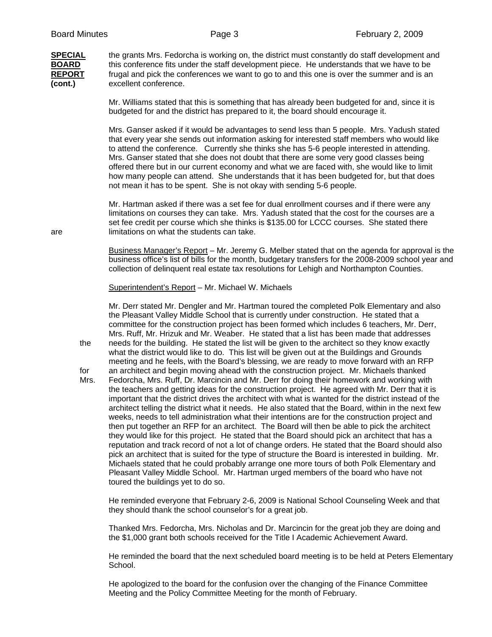**(cont.)** excellent conference.

**SPECIAL** the grants Mrs. Fedorcha is working on, the district must constantly do staff development and **BOARD** this conference fits under the staff development piece. He understands that we have to be **REPORT** frugal and pick the conferences we want to go to and this one is over the summer and is an

> Mr. Williams stated that this is something that has already been budgeted for and, since it is budgeted for and the district has prepared to it, the board should encourage it.

 Mrs. Ganser asked if it would be advantages to send less than 5 people. Mrs. Yadush stated that every year she sends out information asking for interested staff members who would like to attend the conference. Currently she thinks she has 5-6 people interested in attending. Mrs. Ganser stated that she does not doubt that there are some very good classes being offered there but in our current economy and what we are faced with, she would like to limit how many people can attend. She understands that it has been budgeted for, but that does not mean it has to be spent. She is not okay with sending 5-6 people.

 Mr. Hartman asked if there was a set fee for dual enrollment courses and if there were any limitations on courses they can take. Mrs. Yadush stated that the cost for the courses are a set fee credit per course which she thinks is \$135.00 for LCCC courses. She stated there are limitations on what the students can take.

> Business Manager's Report – Mr. Jeremy G. Melber stated that on the agenda for approval is the business office's list of bills for the month, budgetary transfers for the 2008-2009 school year and collection of delinquent real estate tax resolutions for Lehigh and Northampton Counties.

Superintendent's Report – Mr. Michael W. Michaels

Mr. Derr stated Mr. Dengler and Mr. Hartman toured the completed Polk Elementary and also the Pleasant Valley Middle School that is currently under construction. He stated that a committee for the construction project has been formed which includes 6 teachers, Mr. Derr, Mrs. Ruff, Mr. Hrizuk and Mr. Weaber. He stated that a list has been made that addresses the needs for the building. He stated the list will be given to the architect so they know exactly what the district would like to do. This list will be given out at the Buildings and Grounds meeting and he feels, with the Board's blessing, we are ready to move forward with an RFP

for an architect and begin moving ahead with the construction project. Mr. Michaels thanked Mrs. Fedorcha, Mrs. Ruff, Dr. Marcincin and Mr. Derr for doing their homework and working with the teachers and getting ideas for the construction project. He agreed with Mr. Derr that it is important that the district drives the architect with what is wanted for the district instead of the architect telling the district what it needs. He also stated that the Board, within in the next few weeks, needs to tell administration what their intentions are for the construction project and then put together an RFP for an architect. The Board will then be able to pick the architect they would like for this project. He stated that the Board should pick an architect that has a reputation and track record of not a lot of change orders. He stated that the Board should also pick an architect that is suited for the type of structure the Board is interested in building. Mr. Michaels stated that he could probably arrange one more tours of both Polk Elementary and Pleasant Valley Middle School. Mr. Hartman urged members of the board who have not toured the buildings yet to do so.

He reminded everyone that February 2-6, 2009 is National School Counseling Week and that they should thank the school counselor's for a great job.

Thanked Mrs. Fedorcha, Mrs. Nicholas and Dr. Marcincin for the great job they are doing and the \$1,000 grant both schools received for the Title I Academic Achievement Award.

He reminded the board that the next scheduled board meeting is to be held at Peters Elementary School.

He apologized to the board for the confusion over the changing of the Finance Committee Meeting and the Policy Committee Meeting for the month of February.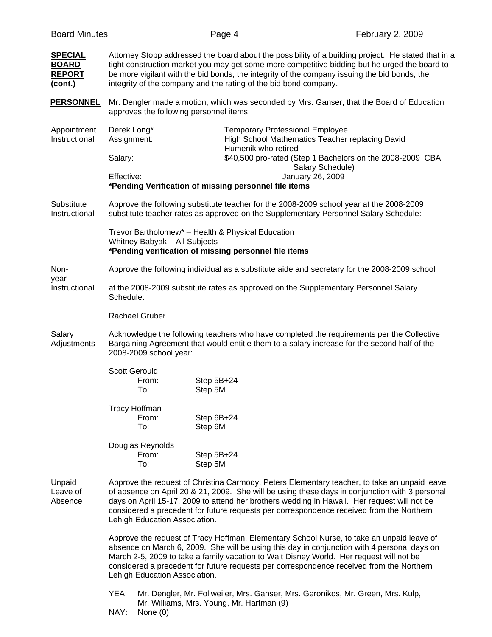| <b>Board Minutes</b>                                       |                                                                                                                                                                                                                                                                                                                                                                                                                            | Page 4                                                                                                     | February 2, 2009                                                                                                                                                                |  |  |
|------------------------------------------------------------|----------------------------------------------------------------------------------------------------------------------------------------------------------------------------------------------------------------------------------------------------------------------------------------------------------------------------------------------------------------------------------------------------------------------------|------------------------------------------------------------------------------------------------------------|---------------------------------------------------------------------------------------------------------------------------------------------------------------------------------|--|--|
| <b>SPECIAL</b><br><b>BOARD</b><br><b>REPORT</b><br>(cont.) | Attorney Stopp addressed the board about the possibility of a building project. He stated that in a<br>tight construction market you may get some more competitive bidding but he urged the board to<br>be more vigilant with the bid bonds, the integrity of the company issuing the bid bonds, the<br>integrity of the company and the rating of the bid bond company.                                                   |                                                                                                            |                                                                                                                                                                                 |  |  |
| <b>PERSONNEL</b>                                           | approves the following personnel items:                                                                                                                                                                                                                                                                                                                                                                                    |                                                                                                            | Mr. Dengler made a motion, which was seconded by Mrs. Ganser, that the Board of Education                                                                                       |  |  |
| Appointment<br>Instructional                               | Derek Long*<br>Assignment:                                                                                                                                                                                                                                                                                                                                                                                                 | Humenik who retired                                                                                        | <b>Temporary Professional Employee</b><br>High School Mathematics Teacher replacing David                                                                                       |  |  |
|                                                            | Salary:                                                                                                                                                                                                                                                                                                                                                                                                                    |                                                                                                            | \$40,500 pro-rated (Step 1 Bachelors on the 2008-2009 CBA<br>Salary Schedule)                                                                                                   |  |  |
|                                                            | Effective:                                                                                                                                                                                                                                                                                                                                                                                                                 | *Pending Verification of missing personnel file items                                                      | January 26, 2009                                                                                                                                                                |  |  |
| Substitute<br>Instructional                                |                                                                                                                                                                                                                                                                                                                                                                                                                            |                                                                                                            | Approve the following substitute teacher for the 2008-2009 school year at the 2008-2009<br>substitute teacher rates as approved on the Supplementary Personnel Salary Schedule: |  |  |
|                                                            | Whitney Babyak - All Subjects                                                                                                                                                                                                                                                                                                                                                                                              | Trevor Bartholomew* - Health & Physical Education<br>*Pending verification of missing personnel file items |                                                                                                                                                                                 |  |  |
| Non-                                                       |                                                                                                                                                                                                                                                                                                                                                                                                                            |                                                                                                            | Approve the following individual as a substitute aide and secretary for the 2008-2009 school                                                                                    |  |  |
| year<br>Instructional                                      | at the 2008-2009 substitute rates as approved on the Supplementary Personnel Salary<br>Schedule:                                                                                                                                                                                                                                                                                                                           |                                                                                                            |                                                                                                                                                                                 |  |  |
|                                                            | <b>Rachael Gruber</b>                                                                                                                                                                                                                                                                                                                                                                                                      |                                                                                                            |                                                                                                                                                                                 |  |  |
| Salary<br>Adjustments                                      | Acknowledge the following teachers who have completed the requirements per the Collective<br>Bargaining Agreement that would entitle them to a salary increase for the second half of the<br>2008-2009 school year:                                                                                                                                                                                                        |                                                                                                            |                                                                                                                                                                                 |  |  |
|                                                            | <b>Scott Gerould</b><br>From:<br>To:                                                                                                                                                                                                                                                                                                                                                                                       | Step 5B+24<br>Step 5M                                                                                      |                                                                                                                                                                                 |  |  |
|                                                            | <b>Tracy Hoffman</b><br>From:<br>To:                                                                                                                                                                                                                                                                                                                                                                                       | Step 6B+24<br>Step 6M                                                                                      |                                                                                                                                                                                 |  |  |
|                                                            | Douglas Reynolds<br>From:<br>To:                                                                                                                                                                                                                                                                                                                                                                                           | Step 5B+24<br>Step 5M                                                                                      |                                                                                                                                                                                 |  |  |
| Unpaid<br>Leave of<br>Absence                              | Approve the request of Christina Carmody, Peters Elementary teacher, to take an unpaid leave<br>of absence on April 20 & 21, 2009. She will be using these days in conjunction with 3 personal<br>days on April 15-17, 2009 to attend her brothers wedding in Hawaii. Her request will not be<br>considered a precedent for future requests per correspondence received from the Northern<br>Lehigh Education Association. |                                                                                                            |                                                                                                                                                                                 |  |  |
|                                                            | Approve the request of Tracy Hoffman, Elementary School Nurse, to take an unpaid leave of<br>absence on March 6, 2009. She will be using this day in conjunction with 4 personal days on<br>March 2-5, 2009 to take a family vacation to Walt Disney World. Her request will not be<br>considered a precedent for future requests per correspondence received from the Northern<br>Lehigh Education Association.           |                                                                                                            |                                                                                                                                                                                 |  |  |
|                                                            | YEA:                                                                                                                                                                                                                                                                                                                                                                                                                       |                                                                                                            | Mr. Dengler, Mr. Follweiler, Mrs. Ganser, Mrs. Geronikos, Mr. Green, Mrs. Kulp,                                                                                                 |  |  |

Mr. Williams, Mrs. Young, Mr. Hartman (9)

NAY: None (0)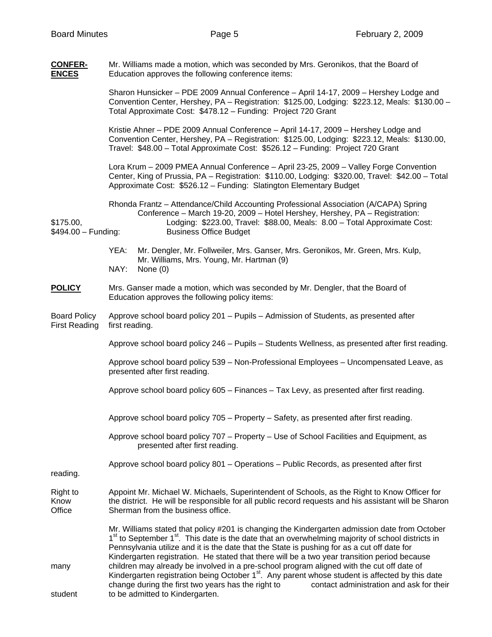**CONFER-** Mr. Williams made a motion, which was seconded by Mrs. Geronikos, that the Board of **ENCES** Education approves the following conference items: Sharon Hunsicker – PDE 2009 Annual Conference – April 14-17, 2009 – Hershey Lodge and Convention Center, Hershey, PA – Registration: \$125.00, Lodging: \$223.12, Meals: \$130.00 – Total Approximate Cost: \$478.12 – Funding: Project 720 Grant Kristie Ahner – PDE 2009 Annual Conference – April 14-17, 2009 – Hershey Lodge and Convention Center, Hershey, PA – Registration: \$125.00, Lodging: \$223.12, Meals: \$130.00, Travel: \$48.00 – Total Approximate Cost: \$526.12 – Funding: Project 720 Grant Lora Krum – 2009 PMEA Annual Conference – April 23-25, 2009 – Valley Forge Convention Center, King of Prussia, PA – Registration: \$110.00, Lodging: \$320.00, Travel: \$42.00 – Total Approximate Cost: \$526.12 – Funding: Slatington Elementary Budget Rhonda Frantz – Attendance/Child Accounting Professional Association (A/CAPA) Spring Conference – March 19-20, 2009 – Hotel Hershey, Hershey, PA – Registration: \$175.00, Lodging: \$223.00, Travel: \$88.00, Meals: 8.00 – Total Approximate Cost: \$494.00 – Funding: Business Office Budget YEA: Mr. Dengler, Mr. Follweiler, Mrs. Ganser, Mrs. Geronikos, Mr. Green, Mrs. Kulp, Mr. Williams, Mrs. Young, Mr. Hartman (9) NAY: None (0) **POLICY** Mrs. Ganser made a motion, which was seconded by Mr. Dengler, that the Board of Education approves the following policy items: Board Policy Approve school board policy 201 – Pupils – Admission of Students, as presented after First Reading first reading. Approve school board policy 246 – Pupils – Students Wellness, as presented after first reading. Approve school board policy 539 – Non-Professional Employees – Uncompensated Leave, as presented after first reading. Approve school board policy 605 – Finances – Tax Levy, as presented after first reading. Approve school board policy 705 – Property – Safety, as presented after first reading. Approve school board policy 707 – Property – Use of School Facilities and Equipment, as presented after first reading. Approve school board policy 801 – Operations – Public Records, as presented after first reading. Right to Appoint Mr. Michael W. Michaels, Superintendent of Schools, as the Right to Know Officer for Know the district. He will be responsible for all public record requests and his assistant will be Sharon Office Sherman from the business office. Mr. Williams stated that policy #201 is changing the Kindergarten admission date from October  $1<sup>st</sup>$  to September  $1<sup>st</sup>$ . This date is the date that an overwhelming majority of school districts in Pennsylvania utilize and it is the date that the State is pushing for as a cut off date for Kindergarten registration. He stated that there will be a two year transition period because many children may already be involved in a pre-school program aligned with the cut off date of Kindergarten registration being October  $1<sup>st</sup>$ . Any parent whose student is affected by this date change during the first two years has the right to contact administration and ask for their student to be admitted to Kindergarten.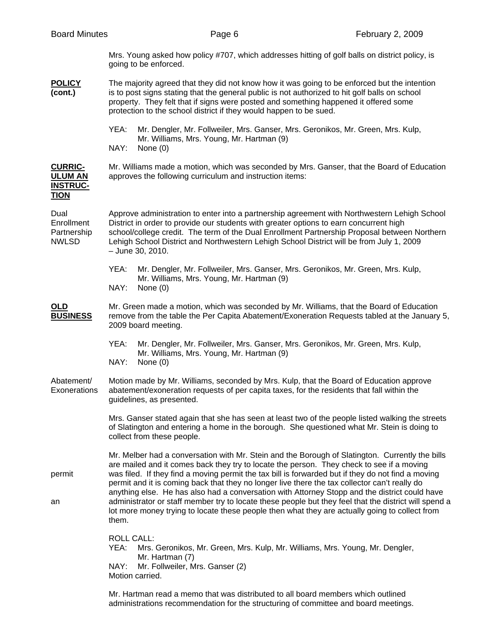Mrs. Young asked how policy #707, which addresses hitting of golf balls on district policy, is going to be enforced.

- **POLICY** The majority agreed that they did not know how it was going to be enforced but the intention **(cont.)** is to post signs stating that the general public is not authorized to hit golf balls on school property. They felt that if signs were posted and something happened it offered some protection to the school district if they would happen to be sued.
	- YEA: Mr. Dengler, Mr. Follweiler, Mrs. Ganser, Mrs. Geronikos, Mr. Green, Mrs. Kulp, Mr. Williams, Mrs. Young, Mr. Hartman (9)
	- NAY: None (0)

**CURRIC-** Mr. Williams made a motion, which was seconded by Mrs. Ganser, that the Board of Education **ULUM AN** approves the following curriculum and instruction items: **INSTRUC-**

| <u></u><br><b>TION</b>                            |                                                                                                                                                                                                                                                                                                                                                                                                                                                                                                                                                                                                                                                                                                                          |  |  |  |
|---------------------------------------------------|--------------------------------------------------------------------------------------------------------------------------------------------------------------------------------------------------------------------------------------------------------------------------------------------------------------------------------------------------------------------------------------------------------------------------------------------------------------------------------------------------------------------------------------------------------------------------------------------------------------------------------------------------------------------------------------------------------------------------|--|--|--|
| Dual<br>Enrollment<br>Partnership<br><b>NWLSD</b> | Approve administration to enter into a partnership agreement with Northwestern Lehigh School<br>District in order to provide our students with greater options to earn concurrent high<br>school/college credit. The term of the Dual Enrollment Partnership Proposal between Northern<br>Lehigh School District and Northwestern Lehigh School District will be from July 1, 2009<br>$-$ June 30, 2010.                                                                                                                                                                                                                                                                                                                 |  |  |  |
|                                                   | YEA:<br>Mr. Dengler, Mr. Follweiler, Mrs. Ganser, Mrs. Geronikos, Mr. Green, Mrs. Kulp,<br>Mr. Williams, Mrs. Young, Mr. Hartman (9)<br>NAY:<br>None $(0)$                                                                                                                                                                                                                                                                                                                                                                                                                                                                                                                                                               |  |  |  |
| OLD<br><b>BUSINESS</b>                            | Mr. Green made a motion, which was seconded by Mr. Williams, that the Board of Education<br>remove from the table the Per Capita Abatement/Exoneration Requests tabled at the January 5,<br>2009 board meeting.                                                                                                                                                                                                                                                                                                                                                                                                                                                                                                          |  |  |  |
|                                                   | YEA:<br>Mr. Dengler, Mr. Follweiler, Mrs. Ganser, Mrs. Geronikos, Mr. Green, Mrs. Kulp,<br>Mr. Williams, Mrs. Young, Mr. Hartman (9)<br>NAY:<br>None $(0)$                                                                                                                                                                                                                                                                                                                                                                                                                                                                                                                                                               |  |  |  |
| Abatement/<br>Exonerations                        | Motion made by Mr. Williams, seconded by Mrs. Kulp, that the Board of Education approve<br>abatement/exoneration requests of per capita taxes, for the residents that fall within the<br>guidelines, as presented.                                                                                                                                                                                                                                                                                                                                                                                                                                                                                                       |  |  |  |
|                                                   | Mrs. Ganser stated again that she has seen at least two of the people listed walking the streets<br>of Slatington and entering a home in the borough. She questioned what Mr. Stein is doing to<br>collect from these people.                                                                                                                                                                                                                                                                                                                                                                                                                                                                                            |  |  |  |
| permit<br>an                                      | Mr. Melber had a conversation with Mr. Stein and the Borough of Slatington. Currently the bills<br>are mailed and it comes back they try to locate the person. They check to see if a moving<br>was filed. If they find a moving permit the tax bill is forwarded but if they do not find a moving<br>permit and it is coming back that they no longer live there the tax collector can't really do<br>anything else. He has also had a conversation with Attorney Stopp and the district could have<br>administrator or staff member try to locate these people but they feel that the district will spend a<br>lot more money trying to locate these people then what they are actually going to collect from<br>them. |  |  |  |
|                                                   | <b>ROLL CALL:</b><br>Mrs. Geronikos, Mr. Green, Mrs. Kulp, Mr. Williams, Mrs. Young, Mr. Dengler,<br>YEA:<br>Mr. Hartman (7)<br>NAY:<br>Mr. Follweiler, Mrs. Ganser (2)<br>Motion carried.                                                                                                                                                                                                                                                                                                                                                                                                                                                                                                                               |  |  |  |
|                                                   |                                                                                                                                                                                                                                                                                                                                                                                                                                                                                                                                                                                                                                                                                                                          |  |  |  |

 Mr. Hartman read a memo that was distributed to all board members which outlined administrations recommendation for the structuring of committee and board meetings.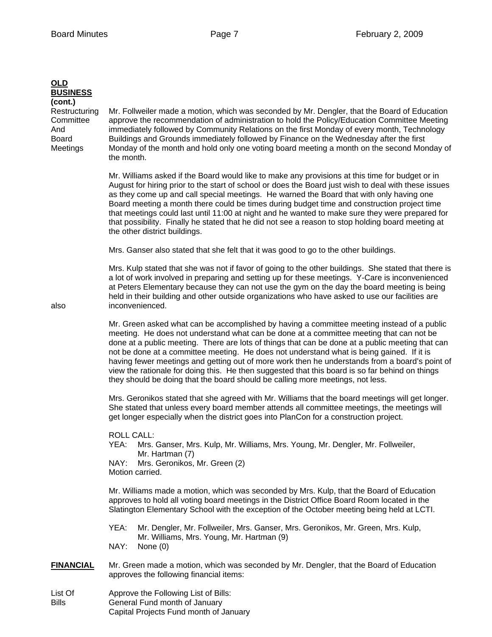| <b>OLD</b><br><b>BUSINESS</b><br>(cont.)<br>Restructuring<br>Committee<br>And<br><b>Board</b><br>Meetings | Mr. Follweiler made a motion, which was seconded by Mr. Dengler, that the Board of Education<br>approve the recommendation of administration to hold the Policy/Education Committee Meeting<br>immediately followed by Community Relations on the first Monday of every month, Technology<br>Buildings and Grounds immediately followed by Finance on the Wednesday after the first<br>Monday of the month and hold only one voting board meeting a month on the second Monday of<br>the month.<br>Mr. Williams asked if the Board would like to make any provisions at this time for budget or in<br>August for hiring prior to the start of school or does the Board just wish to deal with these issues<br>as they come up and call special meetings. He warned the Board that with only having one<br>Board meeting a month there could be times during budget time and construction project time<br>that meetings could last until 11:00 at night and he wanted to make sure they were prepared for<br>that possibility. Finally he stated that he did not see a reason to stop holding board meeting at<br>the other district buildings. |  |  |
|-----------------------------------------------------------------------------------------------------------|------------------------------------------------------------------------------------------------------------------------------------------------------------------------------------------------------------------------------------------------------------------------------------------------------------------------------------------------------------------------------------------------------------------------------------------------------------------------------------------------------------------------------------------------------------------------------------------------------------------------------------------------------------------------------------------------------------------------------------------------------------------------------------------------------------------------------------------------------------------------------------------------------------------------------------------------------------------------------------------------------------------------------------------------------------------------------------------------------------------------------------------------|--|--|
|                                                                                                           | Mrs. Ganser also stated that she felt that it was good to go to the other buildings.                                                                                                                                                                                                                                                                                                                                                                                                                                                                                                                                                                                                                                                                                                                                                                                                                                                                                                                                                                                                                                                           |  |  |
| also                                                                                                      | Mrs. Kulp stated that she was not if favor of going to the other buildings. She stated that there is<br>a lot of work involved in preparing and setting up for these meetings. Y-Care is inconvenienced<br>at Peters Elementary because they can not use the gym on the day the board meeting is being<br>held in their building and other outside organizations who have asked to use our facilities are<br>inconvenienced.                                                                                                                                                                                                                                                                                                                                                                                                                                                                                                                                                                                                                                                                                                                   |  |  |
|                                                                                                           | Mr. Green asked what can be accomplished by having a committee meeting instead of a public<br>meeting. He does not understand what can be done at a committee meeting that can not be<br>done at a public meeting. There are lots of things that can be done at a public meeting that can<br>not be done at a committee meeting. He does not understand what is being gained. If it is<br>having fewer meetings and getting out of more work then he understands from a board's point of<br>view the rationale for doing this. He then suggested that this board is so far behind on things<br>they should be doing that the board should be calling more meetings, not less.                                                                                                                                                                                                                                                                                                                                                                                                                                                                  |  |  |
|                                                                                                           | Mrs. Geronikos stated that she agreed with Mr. Williams that the board meetings will get longer.<br>She stated that unless every board member attends all committee meetings, the meetings will<br>get longer especially when the district goes into PlanCon for a construction project.                                                                                                                                                                                                                                                                                                                                                                                                                                                                                                                                                                                                                                                                                                                                                                                                                                                       |  |  |
|                                                                                                           | <b>ROLL CALL:</b><br>Mrs. Ganser, Mrs. Kulp, Mr. Williams, Mrs. Young, Mr. Dengler, Mr. Follweiler,<br>YEA:<br>Mr. Hartman (7)<br>NAY:<br>Mrs. Geronikos, Mr. Green (2)<br>Motion carried.                                                                                                                                                                                                                                                                                                                                                                                                                                                                                                                                                                                                                                                                                                                                                                                                                                                                                                                                                     |  |  |
|                                                                                                           | Mr. Williams made a motion, which was seconded by Mrs. Kulp, that the Board of Education<br>approves to hold all voting board meetings in the District Office Board Room located in the<br>Slatington Elementary School with the exception of the October meeting being held at LCTI.                                                                                                                                                                                                                                                                                                                                                                                                                                                                                                                                                                                                                                                                                                                                                                                                                                                          |  |  |
|                                                                                                           | YEA:<br>Mr. Dengler, Mr. Follweiler, Mrs. Ganser, Mrs. Geronikos, Mr. Green, Mrs. Kulp,<br>Mr. Williams, Mrs. Young, Mr. Hartman (9)<br>NAY:<br>None $(0)$                                                                                                                                                                                                                                                                                                                                                                                                                                                                                                                                                                                                                                                                                                                                                                                                                                                                                                                                                                                     |  |  |
| <b>FINANCIAL</b>                                                                                          | Mr. Green made a motion, which was seconded by Mr. Dengler, that the Board of Education<br>approves the following financial items:                                                                                                                                                                                                                                                                                                                                                                                                                                                                                                                                                                                                                                                                                                                                                                                                                                                                                                                                                                                                             |  |  |
| $1$ int $\bigcap$ f                                                                                       | Approva the Following Liet of Dillo                                                                                                                                                                                                                                                                                                                                                                                                                                                                                                                                                                                                                                                                                                                                                                                                                                                                                                                                                                                                                                                                                                            |  |  |

List Of **Approve the Following List of Bills:** Bills General Fund month of January Capital Projects Fund month of January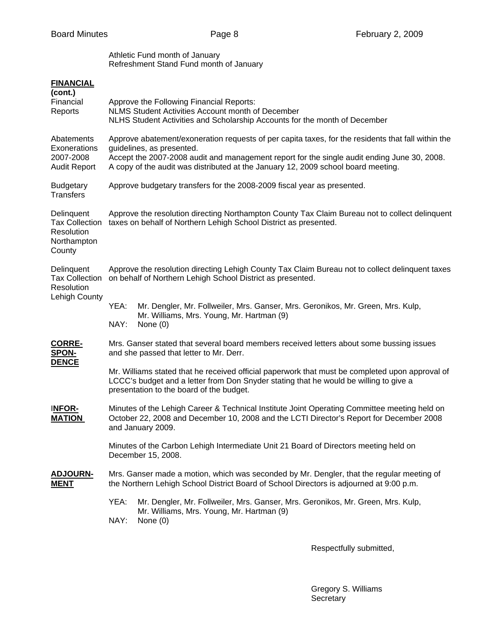Athletic Fund month of January Refreshment Stand Fund month of January

## **FINANCIAL**

| (cont.)<br>Financial<br>Reports                                            | Approve the Following Financial Reports:<br>NLMS Student Activities Account month of December<br>NLHS Student Activities and Scholarship Accounts for the month of December                                                                                                                                         |                                                                                                                                                                                                                                      |  |  |  |
|----------------------------------------------------------------------------|---------------------------------------------------------------------------------------------------------------------------------------------------------------------------------------------------------------------------------------------------------------------------------------------------------------------|--------------------------------------------------------------------------------------------------------------------------------------------------------------------------------------------------------------------------------------|--|--|--|
| Abatements<br>Exonerations<br>2007-2008<br><b>Audit Report</b>             | Approve abatement/exoneration requests of per capita taxes, for the residents that fall within the<br>guidelines, as presented.<br>Accept the 2007-2008 audit and management report for the single audit ending June 30, 2008.<br>A copy of the audit was distributed at the January 12, 2009 school board meeting. |                                                                                                                                                                                                                                      |  |  |  |
| <b>Budgetary</b><br><b>Transfers</b>                                       | Approve budgetary transfers for the 2008-2009 fiscal year as presented.                                                                                                                                                                                                                                             |                                                                                                                                                                                                                                      |  |  |  |
| Delinquent<br><b>Tax Collection</b><br>Resolution<br>Northampton<br>County | Approve the resolution directing Northampton County Tax Claim Bureau not to collect delinquent<br>taxes on behalf of Northern Lehigh School District as presented.                                                                                                                                                  |                                                                                                                                                                                                                                      |  |  |  |
| Delinquent<br><b>Tax Collection</b><br>Resolution<br>Lehigh County         | Approve the resolution directing Lehigh County Tax Claim Bureau not to collect delinguent taxes<br>on behalf of Northern Lehigh School District as presented.                                                                                                                                                       |                                                                                                                                                                                                                                      |  |  |  |
|                                                                            | YEA:<br>NAY:                                                                                                                                                                                                                                                                                                        | Mr. Dengler, Mr. Follweiler, Mrs. Ganser, Mrs. Geronikos, Mr. Green, Mrs. Kulp,<br>Mr. Williams, Mrs. Young, Mr. Hartman (9)<br>None $(0)$                                                                                           |  |  |  |
| <b>CORRE-</b><br><b>SPON-</b><br><b>DENCE</b>                              | Mrs. Ganser stated that several board members received letters about some bussing issues<br>and she passed that letter to Mr. Derr.                                                                                                                                                                                 |                                                                                                                                                                                                                                      |  |  |  |
|                                                                            |                                                                                                                                                                                                                                                                                                                     | Mr. Williams stated that he received official paperwork that must be completed upon approval of<br>LCCC's budget and a letter from Don Snyder stating that he would be willing to give a<br>presentation to the board of the budget. |  |  |  |
| INFOR-<br><b>MATION</b>                                                    | Minutes of the Lehigh Career & Technical Institute Joint Operating Committee meeting held on<br>October 22, 2008 and December 10, 2008 and the LCTI Director's Report for December 2008<br>and January 2009.                                                                                                        |                                                                                                                                                                                                                                      |  |  |  |
|                                                                            |                                                                                                                                                                                                                                                                                                                     | Minutes of the Carbon Lehigh Intermediate Unit 21 Board of Directors meeting held on<br>December 15, 2008.                                                                                                                           |  |  |  |
| <b>ADJOURN-</b><br><b>MENT</b>                                             | Mrs. Ganser made a motion, which was seconded by Mr. Dengler, that the regular meeting of<br>the Northern Lehigh School District Board of School Directors is adjourned at 9:00 p.m.                                                                                                                                |                                                                                                                                                                                                                                      |  |  |  |
|                                                                            | YEA:<br>NAY:                                                                                                                                                                                                                                                                                                        | Mr. Dengler, Mr. Follweiler, Mrs. Ganser, Mrs. Geronikos, Mr. Green, Mrs. Kulp,<br>Mr. Williams, Mrs. Young, Mr. Hartman (9)<br>None $(0)$                                                                                           |  |  |  |

Respectfully submitted,